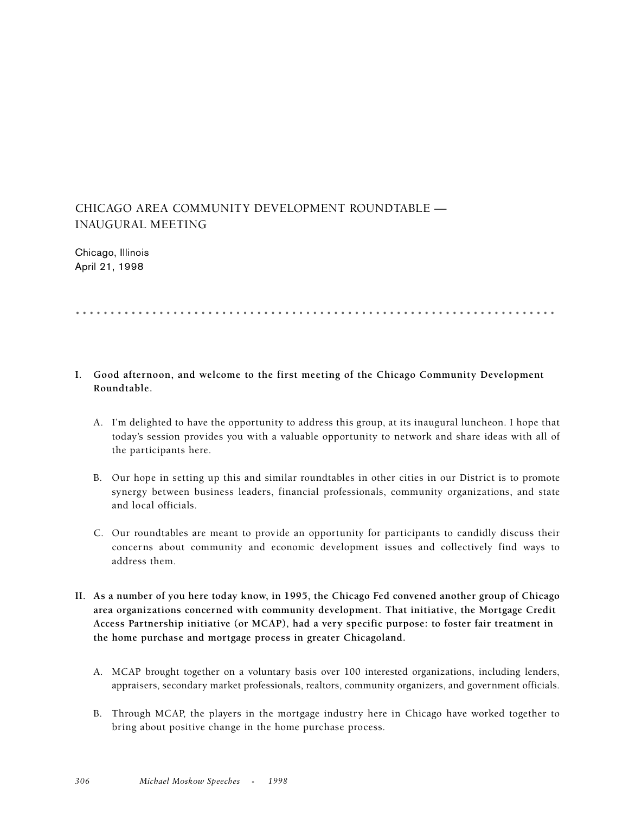## CHICAGO AREA COMMUNITY DEVELOPMENT ROUNDTABLE — INAUGURAL MEETING

Chicago, Illinois April 21, 1998

## .....................................................................

## **I. Good afternoon, and welcome to the first meeting of the Chicago Community Development Roundtable.**

- A. I'm delighted to have the opportunity to address this group, at its inaugural luncheon. I hope that today's session provides you with a valuable opportunity to network and share ideas with all of the participants here.
- B. Our hope in setting up this and similar roundtables in other cities in our District is to promote synergy between business leaders, financial professionals, community organizations, and state and local officials.
- C. Our roundtables are meant to provide an opportunity for participants to candidly discuss their concerns about community and economic development issues and collectively find ways to address them.
- **II. As a number of you here today know, in 1995, the Chicago Fed convened another group of Chicago area organizations concerned with community development. That initiative, the Mortgage Credit Access Partnership initiative (or MCAP), had a very specific purpose: to foster fair treatment in the home purchase and mortgage process in greater Chicagoland.**
	- A. MCAP brought together on a voluntary basis over 100 interested organizations, including lenders, appraisers, secondary market professionals, realtors, community organizers, and government officials.
	- B. Through MCAP, the players in the mortgage industry here in Chicago have worked together to bring about positive change in the home purchase process.